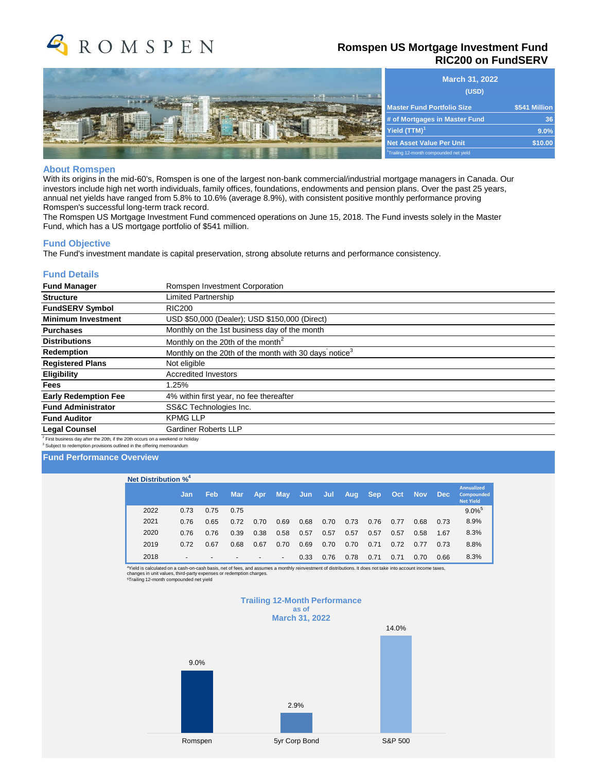

## **Romspen US Mortgage Investment Fund RIC200 on FundSERV**

|                    | <b>Master</b>                              |
|--------------------|--------------------------------------------|
| <br><br>1111112222 | # of Mo<br><b>Yield</b> (T                 |
|                    | <b>Net Ass</b><br><sup>1</sup> Trailing 12 |

|                                        | <b>March 31, 2022</b><br>(USD) |
|----------------------------------------|--------------------------------|
| <b>Master Fund Portfolio Size</b>      | \$541 Million                  |
| # of Mortgages in Master Fund          | 36                             |
| Yield $(TTM)^1$                        | 9.0%                           |
| <b>Net Asset Value Per Unit</b>        | \$10.00                        |
| Trailing 12-month compounded net yield |                                |

#### **About Romspen**

With its origins in the mid-60's, Romspen is one of the largest non-bank commercial/industrial mortgage managers in Canada. Our investors include high net worth individuals, family offices, foundations, endowments and pension plans. Over the past 25 years, annual net yields have ranged from 5.8% to 10.6% (average 8.9%), with consistent positive monthly performance proving Romspen's successful long-term track record.

The Romspen US Mortgage Investment Fund commenced operations on June 15, 2018. The Fund invests solely in the Master Fund, which has a US mortgage portfolio of \$541 million.

#### **Fund Objective**

The Fund's investment mandate is capital preservation, strong absolute returns and performance consistency.

#### **Fund Details**

| <b>Fund Manager</b>                                                                        | Romspen Investment Corporation                                    |  |  |  |  |  |  |  |
|--------------------------------------------------------------------------------------------|-------------------------------------------------------------------|--|--|--|--|--|--|--|
| <b>Structure</b>                                                                           | Limited Partnership                                               |  |  |  |  |  |  |  |
| <b>FundSERV Symbol</b>                                                                     | <b>RIC200</b>                                                     |  |  |  |  |  |  |  |
| <b>Minimum Investment</b>                                                                  | USD \$50,000 (Dealer); USD \$150,000 (Direct)                     |  |  |  |  |  |  |  |
| <b>Purchases</b>                                                                           | Monthly on the 1st business day of the month                      |  |  |  |  |  |  |  |
| <b>Distributions</b>                                                                       | Monthly on the 20th of the month <sup>2</sup>                     |  |  |  |  |  |  |  |
| Redemption                                                                                 | Monthly on the 20th of the month with 30 days notice <sup>3</sup> |  |  |  |  |  |  |  |
| <b>Registered Plans</b>                                                                    | Not eligible                                                      |  |  |  |  |  |  |  |
| <b>Eligibility</b>                                                                         | <b>Accredited Investors</b>                                       |  |  |  |  |  |  |  |
| <b>Fees</b>                                                                                | 1.25%                                                             |  |  |  |  |  |  |  |
| <b>Early Redemption Fee</b>                                                                | 4% within first year, no fee thereafter                           |  |  |  |  |  |  |  |
| <b>Fund Administrator</b>                                                                  | SS&C Technologies Inc.                                            |  |  |  |  |  |  |  |
| <b>Fund Auditor</b>                                                                        | <b>KPMG LLP</b>                                                   |  |  |  |  |  |  |  |
| <b>Legal Counsel</b>                                                                       | <b>Gardiner Roberts LLP</b>                                       |  |  |  |  |  |  |  |
| <sup>2</sup> First business day after the 20th, if the 20th occurs on a weekend or holiday |                                                                   |  |  |  |  |  |  |  |

 $^2$  First business day after the 20th, if the 20th occurs on a weekend or holiday<br><sup>3</sup> Subject to redemption provisions outlined in the offering memorandum

### **Fund Performance Overview**

| Net Distribution % <sup>4</sup> |      |                          |      |            |      |                          |         |      |      |            |      |            |            |                                                            |
|---------------------------------|------|--------------------------|------|------------|------|--------------------------|---------|------|------|------------|------|------------|------------|------------------------------------------------------------|
|                                 |      | Jan                      | Feb  | <b>Mar</b> | Apr  | May                      | Jun Jun | Jul  | Aug  | <b>Sep</b> | Oct  | <b>Nov</b> | <b>Dec</b> | <b>Annualized</b><br><b>Compounded</b><br><b>Net Yield</b> |
|                                 | 2022 | 0.73                     | 0.75 | 0.75       |      |                          |         |      |      |            |      |            |            | $9.0\%$ <sup>5</sup>                                       |
|                                 | 2021 | 0.76                     | 0.65 | 0.72       | 0.70 | 0.69                     | 0.68    | 0.70 | 0.73 | 0.76       | 0.77 | 0.68       | 0.73       | 8.9%                                                       |
|                                 | 2020 | 0.76                     | 0.76 | 0.39       | 0.38 | 0.58                     | 0.57    | 0.57 | 0.57 | 0.57       | 0.57 | 0.58       | 1.67       | 8.3%                                                       |
|                                 | 2019 | 0.72                     | 0.67 | 0.68       | 0.67 | 0.70                     | 0.69    | 0.70 | 0.70 | 0.71       | 0.72 | 0.77       | 0.73       | 8.8%                                                       |
|                                 | 2018 | $\overline{\phantom{a}}$ |      |            |      | $\overline{\phantom{a}}$ | 0.33    | 0.76 | 0.78 | 0.71       | 0.71 | 0.70       | 0.66       | 8.3%                                                       |

"Yield is calculated on a cash-on-cash basis, net of fees, and assumes a monthly reinvestment of distributions. It does not take into account income taxes,<br>changes in unit values, third-party expenses or redemption charges

#### **Trailing 12-Month Performance as of March 31, 2022**